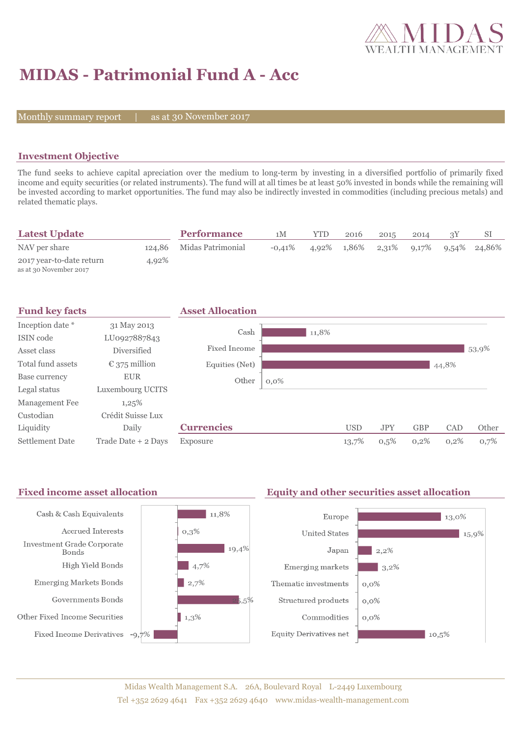

# **MIDAS - Patrimonial Fund A - Acc**

Monthly summary report  $|$ 

as at 30 November 2017

## **Investment Objective**

The fund seeks to achieve capital apreciation over the medium to long-term by investing in a diversified portfolio of primarily fixed income and equity securities (or related instruments). The fund will at all times be at least 50% invested in bonds while the remaining will be invested according to market opportunities. The fund may also be indirectly invested in commodities (including precious metals) and related thematic plays.

| <b>Latest Update</b>                               |       | <b>Performance</b>       | 1 <sub>M</sub> | YTD   | 2016  | 2015  | 2014     | SI           |
|----------------------------------------------------|-------|--------------------------|----------------|-------|-------|-------|----------|--------------|
| NAV per share                                      |       | 124,86 Midas Patrimonial | $-0.41\%$      | 4.92% | 1.86% | 2,31% | $9,17\%$ | 9,54% 24,86% |
| 2017 year-to-date return<br>as at 30 November 2017 | 4,92% |                          |                |       |       |       |          |              |



#### Fixed income asset allocation **Equity and other securities asset allocation**  $11,8%$ Cash & Cash Equivalents Europe  $\vert$  13,0% Accrued Interests  $0,3\%$ **United States**  $15,9%$ Investment Grade Corporate  $19,4%$ Japan  $2,2%$ Bonds High Yield Bonds  $\frac{1}{4,7\%}$ Emerging markets  $3,2\%$ **Emerging Markets Bonds**  $\frac{1}{2,7\%}$ Thematic investments  $0,0\%$ Governments Bonds  $5.5%$ Structured products  $0,0\%$ Other Fixed Income Securities  $1,3%$ Commodities  $0.0\%$ Fixed Income Derivatives -9,7% **Equity Derivatives net**  $10,5%$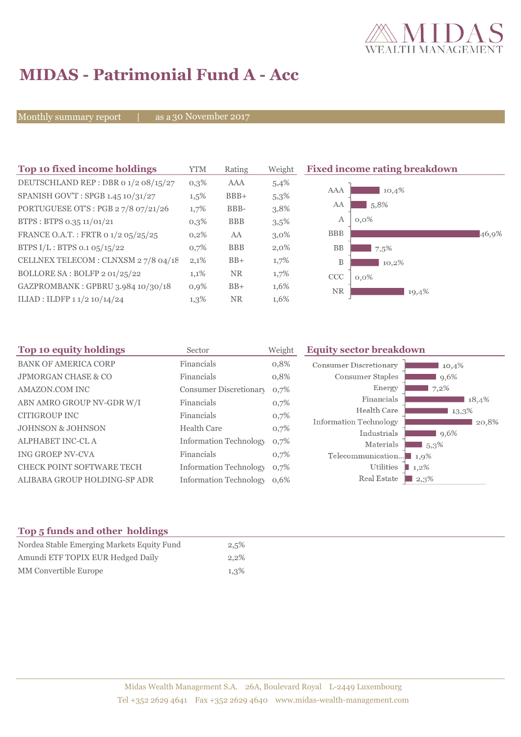

# **MIDAS - Patrimonial Fund A - Acc**

Monthly summary report | as a 30 November 2017

| Top 10 fixed income holdings         | <b>YTM</b> | Rating     | Weight  | <b>Fixed income rating breakdown</b> |
|--------------------------------------|------------|------------|---------|--------------------------------------|
| DEUTSCHLAND REP : DBR 0 1/2 08/15/27 | $0,3\%$    | <b>AAA</b> | 5,4%    |                                      |
| SPANISH GOV'T: SPGB 1.45 10/31/27    | $1,5\%$    | $BBB+$     | 5,3%    | <b>AAA</b><br>10,4%                  |
| PORTUGUESE OT'S : PGB 27/8 07/21/26  | 1,7%       | BBB-       | 3,8%    | 5,8%<br>AA                           |
| BTPS: BTPS 0.35 11/01/21             | $0,3\%$    | <b>BBB</b> | 3,5%    | $0,0\%$<br>А                         |
| FRANCE O.A.T.: FRTR 0 1/2 05/25/25   | $0,2\%$    | AA         | $3,0\%$ | <b>BBB</b><br>46,9%                  |
| BTPS I/L: BTPS 0.1 05/15/22          | 0,7%       | <b>BBB</b> | $2,0\%$ | <b>BB</b><br>7,5%                    |
| CELLNEX TELECOM : CLNXSM 27/8 04/18  | 2,1%       | $BB+$      | 1,7%    | B<br>10,2%                           |
| BOLLORE SA: BOLFP 2 01/25/22         | 1,1%       | NR.        | $1,7\%$ | <b>CCC</b><br>$0,0\%$                |
| GAZPROMBANK: GPBRU 3.984 10/30/18    | 0,9%       | $BB+$      | 1,6%    | <b>NR</b><br>19,4%                   |
| ILIAD : ILDFP 1 1/2 10/14/24         | 1,3%       | <b>NR</b>  | 1,6%    |                                      |

| 18,4% |
|-------|
| 13,3% |
| 20,8% |
|       |
|       |
|       |
|       |
| 10,4% |

# **Top 5 funds and other holdings**

| Nordea Stable Emerging Markets Equity Fund | 2,5%    |
|--------------------------------------------|---------|
| Amundi ETF TOPIX EUR Hedged Daily          | $2.2\%$ |
| MM Convertible Europe                      | 1,3%    |